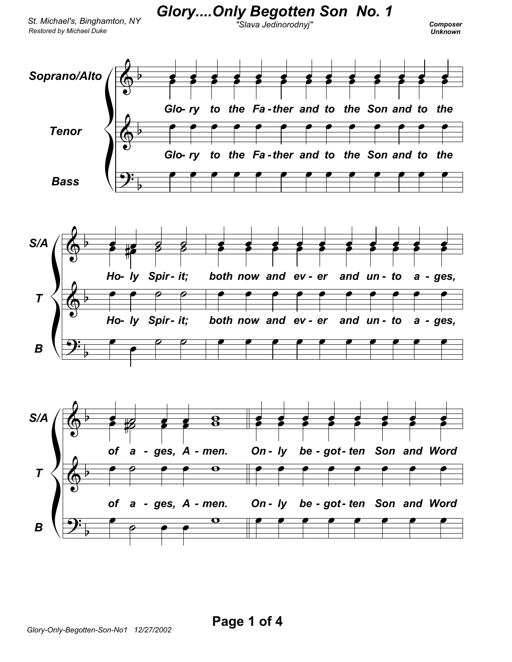

Glory....Only Begotten Son No. 1

## Composer **Unknown**



Page 1 of 4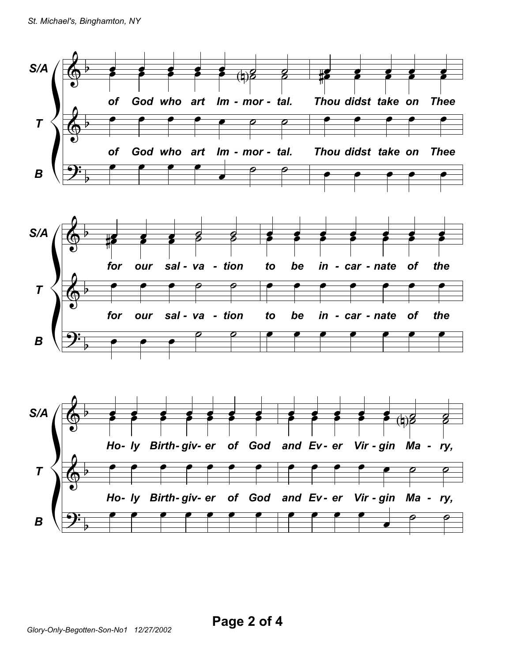

Page 2 of 4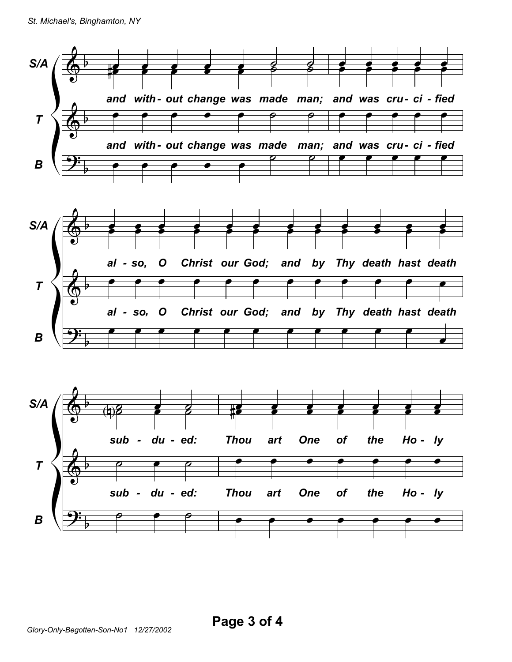